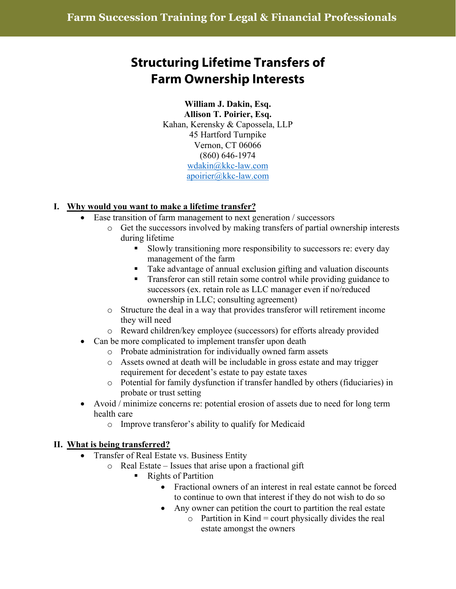# **Structuring Lifetime Transfers of Farm Ownership Interests**

## **William J. Dakin, Esq. Allison T. Poirier, Esq.** Kahan, Kerensky & Capossela, LLP 45 Hartford Turnpike Vernon, CT 06066 (860) 646-1974 [wdakin@kkc-law.com](mailto:wdakin@kkc-law.com) [apoirier@kkc-law.com](mailto:apoirier@kkc-law.com)

## **I. Why would you want to make a lifetime transfer?**

- Ease transition of farm management to next generation / successors
	- o Get the successors involved by making transfers of partial ownership interests during lifetime
		- Slowly transitioning more responsibility to successors re: every day management of the farm
		- Take advantage of annual exclusion gifting and valuation discounts
		- **Transferor can still retain some control while providing guidance to** successors (ex. retain role as LLC manager even if no/reduced ownership in LLC; consulting agreement)
	- o Structure the deal in a way that provides transferor will retirement income they will need
	- o Reward children/key employee (successors) for efforts already provided
- Can be more complicated to implement transfer upon death
	- o Probate administration for individually owned farm assets
		- o Assets owned at death will be includable in gross estate and may trigger requirement for decedent's estate to pay estate taxes
	- o Potential for family dysfunction if transfer handled by others (fiduciaries) in probate or trust setting
- Avoid / minimize concerns re: potential erosion of assets due to need for long term health care
	- o Improve transferor's ability to qualify for Medicaid

## **II. What is being transferred?**

- Transfer of Real Estate vs. Business Entity
	- o Real Estate Issues that arise upon a fractional gift
		- Rights of Partition
			- Fractional owners of an interest in real estate cannot be forced to continue to own that interest if they do not wish to do so
			- Any owner can petition the court to partition the real estate
				- $\circ$  Partition in Kind = court physically divides the real estate amongst the owners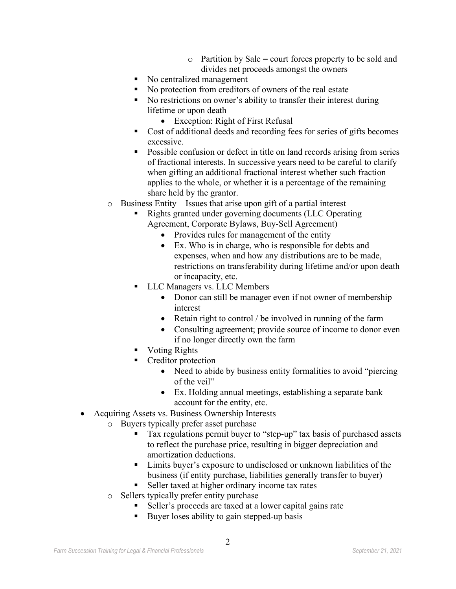- $\circ$  Partition by Sale = court forces property to be sold and divides net proceeds amongst the owners
- No centralized management
- No protection from creditors of owners of the real estate
- No restrictions on owner's ability to transfer their interest during lifetime or upon death
	- Exception: Right of First Refusal
- Cost of additional deeds and recording fees for series of gifts becomes excessive.
- **Possible confusion or defect in title on land records arising from series** of fractional interests. In successive years need to be careful to clarify when gifting an additional fractional interest whether such fraction applies to the whole, or whether it is a percentage of the remaining share held by the grantor.
- o Business Entity Issues that arise upon gift of a partial interest
	- Rights granted under governing documents (LLC Operating Agreement, Corporate Bylaws, Buy-Sell Agreement)
		- Provides rules for management of the entity
		- Ex. Who is in charge, who is responsible for debts and expenses, when and how any distributions are to be made, restrictions on transferability during lifetime and/or upon death or incapacity, etc.
	- LLC Managers vs. LLC Members
		- Donor can still be manager even if not owner of membership interest
		- Retain right to control / be involved in running of the farm
		- Consulting agreement; provide source of income to donor even if no longer directly own the farm
	- **Voting Rights**
	- Creditor protection
		- Need to abide by business entity formalities to avoid "piercing" of the veil"
		- Ex. Holding annual meetings, establishing a separate bank account for the entity, etc.
- Acquiring Assets vs. Business Ownership Interests
	- o Buyers typically prefer asset purchase
		- Tax regulations permit buyer to "step-up" tax basis of purchased assets to reflect the purchase price, resulting in bigger depreciation and amortization deductions.
		- Limits buyer's exposure to undisclosed or unknown liabilities of the business (if entity purchase, liabilities generally transfer to buyer)
		- Seller taxed at higher ordinary income tax rates
		- o Sellers typically prefer entity purchase
			- Seller's proceeds are taxed at a lower capital gains rate
			- Buyer loses ability to gain stepped-up basis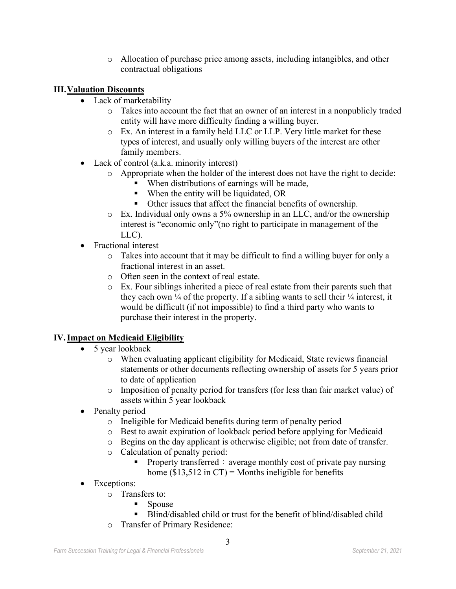o Allocation of purchase price among assets, including intangibles, and other contractual obligations

## **III.Valuation Discounts**

- Lack of marketability
	- o Takes into account the fact that an owner of an interest in a nonpublicly traded entity will have more difficulty finding a willing buyer.
	- o Ex. An interest in a family held LLC or LLP. Very little market for these types of interest, and usually only willing buyers of the interest are other family members.
- Lack of control (a.k.a. minority interest)
	- o Appropriate when the holder of the interest does not have the right to decide:
		- When distributions of earnings will be made,
		- When the entity will be liquidated, OR
		- Other issues that affect the financial benefits of ownership.
	- o Ex. Individual only owns a 5% ownership in an LLC, and/or the ownership interest is "economic only"(no right to participate in management of the LLC).
- Fractional interest
	- o Takes into account that it may be difficult to find a willing buyer for only a fractional interest in an asset.
	- o Often seen in the context of real estate.
	- o Ex. Four siblings inherited a piece of real estate from their parents such that they each own  $\frac{1}{4}$  of the property. If a sibling wants to sell their  $\frac{1}{4}$  interest, it would be difficult (if not impossible) to find a third party who wants to purchase their interest in the property.

## **IV.Impact on Medicaid Eligibility**

- 5 year lookback
	- o When evaluating applicant eligibility for Medicaid, State reviews financial statements or other documents reflecting ownership of assets for 5 years prior to date of application
	- o Imposition of penalty period for transfers (for less than fair market value) of assets within 5 year lookback
- Penalty period
	- o Ineligible for Medicaid benefits during term of penalty period
	- o Best to await expiration of lookback period before applying for Medicaid
	- o Begins on the day applicant is otherwise eligible; not from date of transfer.
	- o Calculation of penalty period:
		- Property transferred  $\div$  average monthly cost of private pay nursing home  $(\$13,512$  in CT) = Months ineligible for benefits
- Exceptions:
	- o Transfers to:
		- Spouse
		- Blind/disabled child or trust for the benefit of blind/disabled child
	- o Transfer of Primary Residence: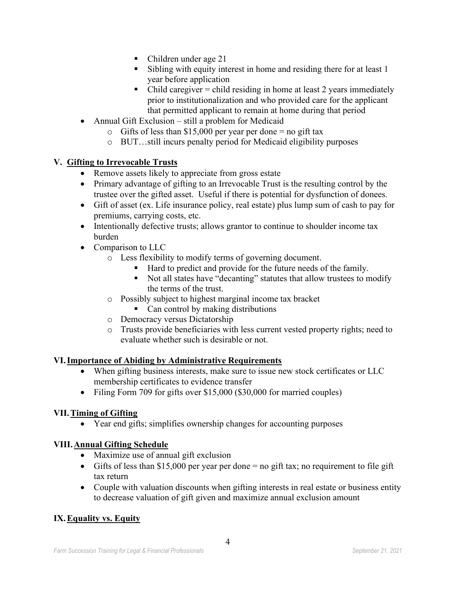- Children under age 21
- Sibling with equity interest in home and residing there for at least 1 year before application
- $\blacksquare$  Child caregiver = child residing in home at least 2 years immediately prior to institutionalization and who provided care for the applicant that permitted applicant to remain at home during that period
- Annual Gift Exclusion still a problem for Medicaid
	- $\circ$  Gifts of less than \$15,000 per year per done = no gift tax
	- o BUT…still incurs penalty period for Medicaid eligibility purposes

## **V. Gifting to Irrevocable Trusts**

- Remove assets likely to appreciate from gross estate
- Primary advantage of gifting to an Irrevocable Trust is the resulting control by the trustee over the gifted asset. Useful if there is potential for dysfunction of donees.
- Gift of asset (ex. Life insurance policy, real estate) plus lump sum of cash to pay for premiums, carrying costs, etc.
- Intentionally defective trusts; allows grantor to continue to shoulder income tax burden
- Comparison to LLC
	- o Less flexibility to modify terms of governing document.
		- Hard to predict and provide for the future needs of the family.
		- Not all states have "decanting" statutes that allow trustees to modify the terms of the trust.
	- o Possibly subject to highest marginal income tax bracket
		- Can control by making distributions
	- o Democracy versus Dictatorship
	- o Trusts provide beneficiaries with less current vested property rights; need to evaluate whether such is desirable or not.

## **VI.Importance of Abiding by Administrative Requirements**

- When gifting business interests, make sure to issue new stock certificates or LLC membership certificates to evidence transfer
- Filing Form 709 for gifts over \$15,000 (\$30,000 for married couples)

# **VII.Timing of Gifting**

• Year end gifts; simplifies ownership changes for accounting purposes

## **VIII.Annual Gifting Schedule**

- Maximize use of annual gift exclusion
- Gifts of less than \$15,000 per year per done  $=$  no gift tax; no requirement to file gift tax return
- Couple with valuation discounts when gifting interests in real estate or business entity to decrease valuation of gift given and maximize annual exclusion amount

# **IX.Equality vs. Equity**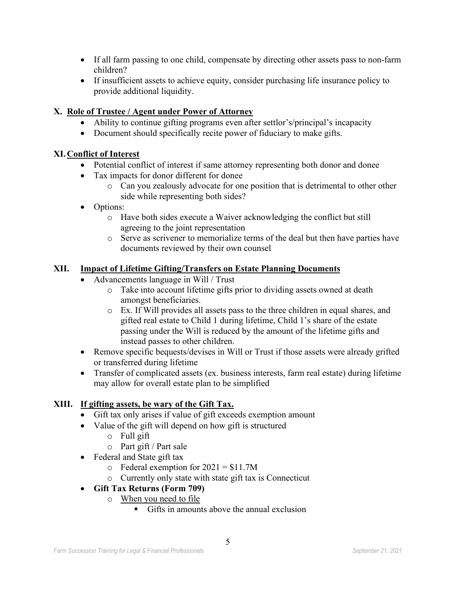- If all farm passing to one child, compensate by directing other assets pass to non-farm children?
- If insufficient assets to achieve equity, consider purchasing life insurance policy to provide additional liquidity.

## **X. Role of Trustee / Agent under Power of Attorney**

- Ability to continue gifting programs even after settlor's/principal's incapacity
- Document should specifically recite power of fiduciary to make gifts.

## **XI.Conflict of Interest**

- Potential conflict of interest if same attorney representing both donor and donee
- Tax impacts for donor different for donee
	- o Can you zealously advocate for one position that is detrimental to other other side while representing both sides?
- Options:
	- o Have both sides execute a Waiver acknowledging the conflict but still agreeing to the joint representation
	- o Serve as scrivener to memorialize terms of the deal but then have parties have documents reviewed by their own counsel

## **XII. Impact of Lifetime Gifting/Transfers on Estate Planning Documents**

- Advancements language in Will / Trust
	- o Take into account lifetime gifts prior to dividing assets owned at death amongst beneficiaries.
	- o Ex. If Will provides all assets pass to the three children in equal shares, and gifted real estate to Child 1 during lifetime, Child 1's share of the estate passing under the Will is reduced by the amount of the lifetime gifts and instead passes to other children.
- Remove specific bequests/devises in Will or Trust if those assets were already grifted or transferred during lifetime
- Transfer of complicated assets (ex. business interests, farm real estate) during lifetime may allow for overall estate plan to be simplified

# **XIII. If gifting assets, be wary of the Gift Tax.**

- Gift tax only arises if value of gift exceeds exemption amount
- Value of the gift will depend on how gift is structured
	- o Full gift
	- o Part gift / Part sale
- Federal and State gift tax
	- $\circ$  Federal exemption for 2021 = \$11.7M
	- o Currently only state with state gift tax is Connecticut
- **Gift Tax Returns (Form 709)**
	- o When you need to file
		- $\blacksquare$  Gifts in amounts above the annual exclusion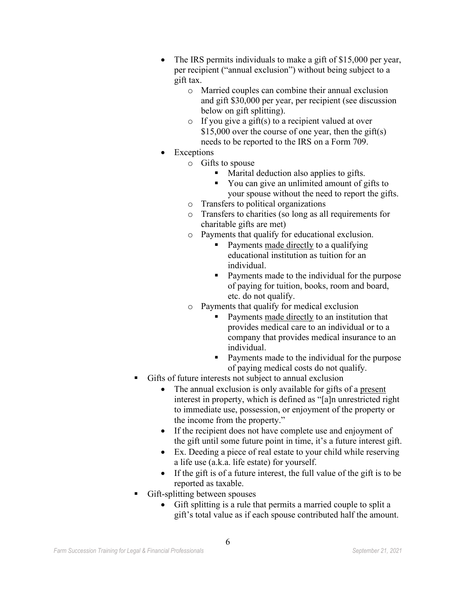- The IRS permits individuals to make a gift of \$15,000 per year, per recipient ("annual exclusion") without being subject to a gift tax.
	- o Married couples can combine their annual exclusion and gift \$30,000 per year, per recipient (see discussion below on gift splitting).
	- $\circ$  If you give a gift(s) to a recipient valued at over \$15,000 over the course of one year, then the gift(s) needs to be reported to the IRS on a Form 709.
- **Exceptions** 
	- o Gifts to spouse
		- Marital deduction also applies to gifts.
		- You can give an unlimited amount of gifts to your spouse without the need to report the gifts.
	- o Transfers to political organizations
	- o Transfers to charities (so long as all requirements for charitable gifts are met)
	- o Payments that qualify for educational exclusion.
		- Payments made directly to a qualifying educational institution as tuition for an individual.
		- Payments made to the individual for the purpose of paying for tuition, books, room and board, etc. do not qualify.
	- o Payments that qualify for medical exclusion
		- Payments made directly to an institution that provides medical care to an individual or to a company that provides medical insurance to an individual.
		- Payments made to the individual for the purpose of paying medical costs do not qualify.
- Gifts of future interests not subject to annual exclusion
	- The annual exclusion is only available for gifts of a present interest in property, which is defined as "[a]n unrestricted right to immediate use, possession, or enjoyment of the property or the income from the property."
	- If the recipient does not have complete use and enjoyment of the gift until some future point in time, it's a future interest gift.
	- Ex. Deeding a piece of real estate to your child while reserving a life use (a.k.a. life estate) for yourself.
	- If the gift is of a future interest, the full value of the gift is to be reported as taxable.
- Gift-splitting between spouses
	- Gift splitting is a rule that permits a married couple to split a gift's total value as if each spouse contributed half the amount.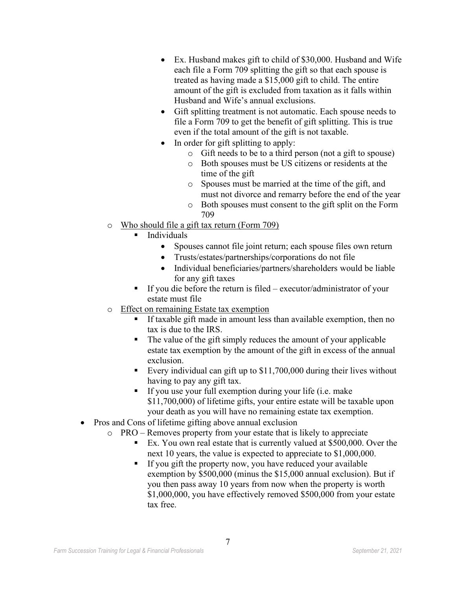- Ex. Husband makes gift to child of \$30,000. Husband and Wife each file a Form 709 splitting the gift so that each spouse is treated as having made a \$15,000 gift to child. The entire amount of the gift is excluded from taxation as it falls within Husband and Wife's annual exclusions.
- Gift splitting treatment is not automatic. Each spouse needs to file a Form 709 to get the benefit of gift splitting. This is true even if the total amount of the gift is not taxable.
- In order for gift splitting to apply:
	- o Gift needs to be to a third person (not a gift to spouse)
	- o Both spouses must be US citizens or residents at the time of the gift
	- o Spouses must be married at the time of the gift, and must not divorce and remarry before the end of the year
	- o Both spouses must consent to the gift split on the Form 709
- o Who should file a gift tax return (Form 709)
	- Individuals
		- Spouses cannot file joint return; each spouse files own return
		- Trusts/estates/partnerships/corporations do not file
		- Individual beneficiaries/partners/shareholders would be liable for any gift taxes
	- If you die before the return is filed executor/administrator of your estate must file
- o Effect on remaining Estate tax exemption
	- If taxable gift made in amount less than available exemption, then no tax is due to the IRS.
	- The value of the gift simply reduces the amount of your applicable estate tax exemption by the amount of the gift in excess of the annual exclusion.
	- Every individual can gift up to  $$11,700,000$  during their lives without having to pay any gift tax.
	- If you use your full exemption during your life (i.e. make \$11,700,000) of lifetime gifts, your entire estate will be taxable upon your death as you will have no remaining estate tax exemption.
- Pros and Cons of lifetime gifting above annual exclusion
	- o PRO Removes property from your estate that is likely to appreciate
		- Ex. You own real estate that is currently valued at \$500,000. Over the next 10 years, the value is expected to appreciate to \$1,000,000.
		- If you gift the property now, you have reduced your available exemption by \$500,000 (minus the \$15,000 annual exclusion). But if you then pass away 10 years from now when the property is worth \$1,000,000, you have effectively removed \$500,000 from your estate tax free.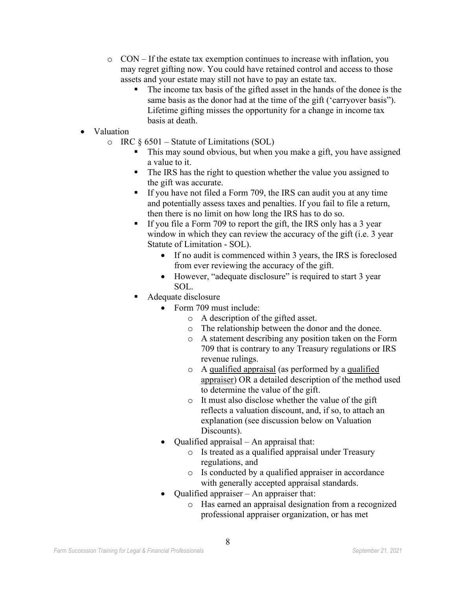- $\circ$  CON If the estate tax exemption continues to increase with inflation, you may regret gifting now. You could have retained control and access to those assets and your estate may still not have to pay an estate tax.
	- The income tax basis of the gifted asset in the hands of the donee is the same basis as the donor had at the time of the gift ('carryover basis"). Lifetime gifting misses the opportunity for a change in income tax basis at death.
- Valuation
	- $\circ$  IRC § 6501 Statute of Limitations (SOL)
		- This may sound obvious, but when you make a gift, you have assigned a value to it.
		- The IRS has the right to question whether the value you assigned to the gift was accurate.
		- If you have not filed a Form 709, the IRS can audit you at any time and potentially assess taxes and penalties. If you fail to file a return, then there is no limit on how long the IRS has to do so.
		- If you file a Form 709 to report the gift, the IRS only has a 3 year window in which they can review the accuracy of the gift (i.e. 3 year Statute of Limitation - SOL).
			- If no audit is commenced within 3 years, the IRS is foreclosed from ever reviewing the accuracy of the gift.
			- However, "adequate disclosure" is required to start 3 year SOL.
		- Adequate disclosure
			- Form 709 must include:
				- o A description of the gifted asset.
				- o The relationship between the donor and the donee.
				- o A statement describing any position taken on the Form 709 that is contrary to any Treasury regulations or IRS revenue rulings.
				- o A qualified appraisal (as performed by a qualified appraiser) OR a detailed description of the method used to determine the value of the gift.
				- o It must also disclose whether the value of the gift reflects a valuation discount, and, if so, to attach an explanation (see discussion below on Valuation Discounts).
			- Qualified appraisal An appraisal that:
				- o Is treated as a qualified appraisal under Treasury regulations, and
				- o Is conducted by a qualified appraiser in accordance with generally accepted appraisal standards.
			- Qualified appraiser An appraiser that:
				- o Has earned an appraisal designation from a recognized professional appraiser organization, or has met